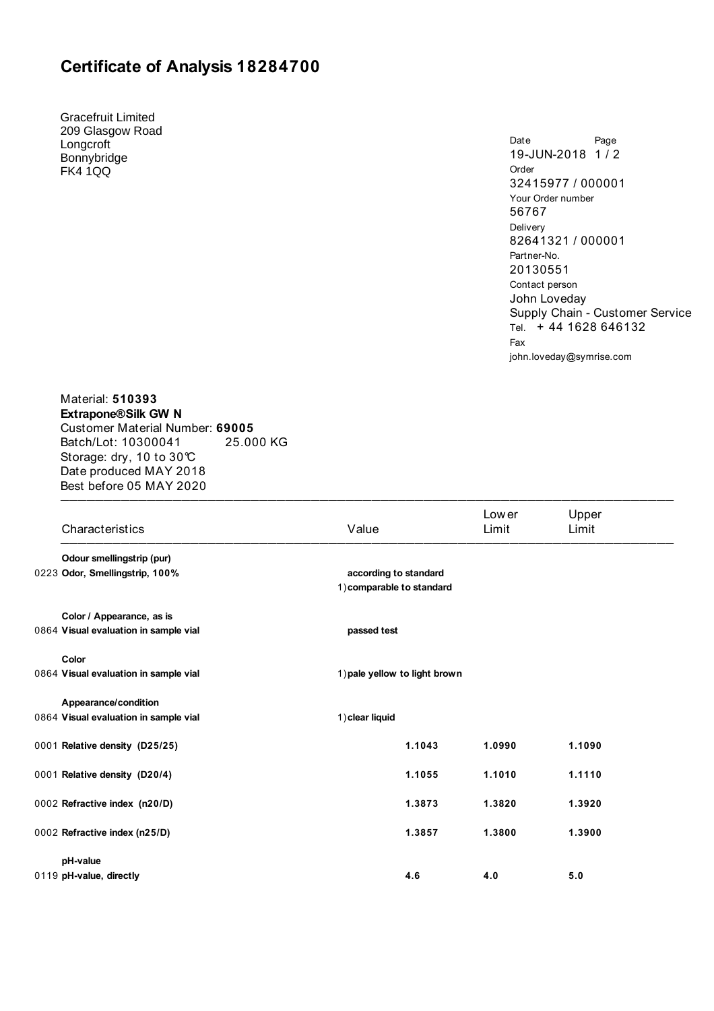## **Certificate of Analysis 18284700**

Gracefruit Limited 209 Glasgow Road Longcroft Bonnybridge FK4 1QQ

Date Page 19-JUN-2018 1 / 2 Order 32415977 / 000001 Your Order number 56767 Delivery 82641321 / 000001 Partner-No. 20130551 Contact person John Loveday Supply Chain - Customer Service Tel. +44 1628 646132 Fax john.loveday@symrise.com

Material: **510393 Extrapone® Silk GW N**  Customer Material Number: **69005** Batch/Lot: 10300041 25.000 KG Storage: dry, 10 to 30°C Date produced MAY 2018 Best before 05 MAY 2020  $\blacksquare$ 

| Characteristics                       | Value                                              | Low er<br>Limit | Upper<br>Limit |  |
|---------------------------------------|----------------------------------------------------|-----------------|----------------|--|
| Odour smellingstrip (pur)             |                                                    |                 |                |  |
| 0223 Odor, Smellingstrip, 100%        | according to standard<br>1) comparable to standard |                 |                |  |
| Color / Appearance, as is             |                                                    |                 |                |  |
| 0864 Visual evaluation in sample vial | passed test                                        |                 |                |  |
| Color                                 |                                                    |                 |                |  |
| 0864 Visual evaluation in sample vial | 1) pale yellow to light brown                      |                 |                |  |
| Appearance/condition                  |                                                    |                 |                |  |
| 0864 Visual evaluation in sample vial | 1) clear liquid                                    |                 |                |  |
| 0001 Relative density (D25/25)        | 1.1043                                             | 1.0990          | 1.1090         |  |
| 0001 Relative density (D20/4)         | 1.1055                                             | 1.1010          | 1.1110         |  |
| 0002 Refractive index (n20/D)         | 1.3873                                             | 1.3820          | 1.3920         |  |
| 0002 Refractive index (n25/D)         | 1.3857                                             | 1.3800          | 1.3900         |  |
| pH-value                              |                                                    |                 |                |  |
| 0119 pH-value, directly               | 4.6                                                | 4.0             | 5.0            |  |